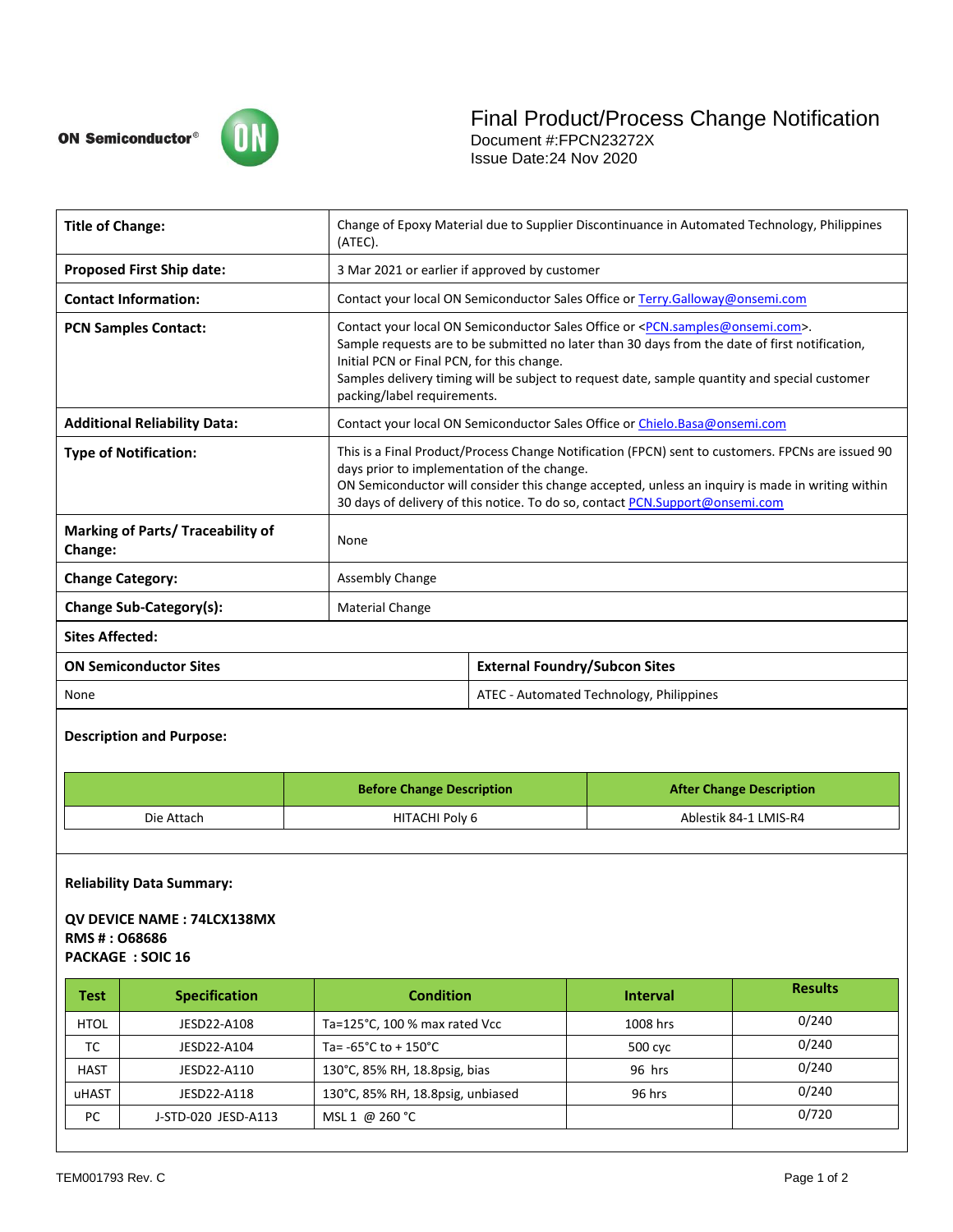

| <b>Title of Change:</b>                                    | Change of Epoxy Material due to Supplier Discontinuance in Automated Technology, Philippines<br>(ATEC).                                                                                                                                                                                                                                                                                    |                                          |  |
|------------------------------------------------------------|--------------------------------------------------------------------------------------------------------------------------------------------------------------------------------------------------------------------------------------------------------------------------------------------------------------------------------------------------------------------------------------------|------------------------------------------|--|
| <b>Proposed First Ship date:</b>                           | 3 Mar 2021 or earlier if approved by customer                                                                                                                                                                                                                                                                                                                                              |                                          |  |
| <b>Contact Information:</b>                                | Contact your local ON Semiconductor Sales Office or Terry.Galloway@onsemi.com                                                                                                                                                                                                                                                                                                              |                                          |  |
| <b>PCN Samples Contact:</b>                                | Contact your local ON Semiconductor Sales Office or <pcn.samples@onsemi.com>.<br/>Sample requests are to be submitted no later than 30 days from the date of first notification,<br/>Initial PCN or Final PCN, for this change.<br/>Samples delivery timing will be subject to request date, sample quantity and special customer<br/>packing/label requirements.</pcn.samples@onsemi.com> |                                          |  |
| <b>Additional Reliability Data:</b>                        | Contact your local ON Semiconductor Sales Office or Chielo.Basa@onsemi.com                                                                                                                                                                                                                                                                                                                 |                                          |  |
| <b>Type of Notification:</b>                               | This is a Final Product/Process Change Notification (FPCN) sent to customers. FPCNs are issued 90<br>days prior to implementation of the change.<br>ON Semiconductor will consider this change accepted, unless an inquiry is made in writing within<br>30 days of delivery of this notice. To do so, contact PCN.Support@onsemi.com                                                       |                                          |  |
| <b>Marking of Parts/ Traceability of</b><br><b>Change:</b> | None                                                                                                                                                                                                                                                                                                                                                                                       |                                          |  |
| <b>Change Category:</b>                                    | <b>Assembly Change</b>                                                                                                                                                                                                                                                                                                                                                                     |                                          |  |
| Change Sub-Category(s):                                    | <b>Material Change</b>                                                                                                                                                                                                                                                                                                                                                                     |                                          |  |
| <b>Sites Affected:</b>                                     |                                                                                                                                                                                                                                                                                                                                                                                            |                                          |  |
| <b>ON Semiconductor Sites</b>                              |                                                                                                                                                                                                                                                                                                                                                                                            | <b>External Foundry/Subcon Sites</b>     |  |
| None                                                       |                                                                                                                                                                                                                                                                                                                                                                                            | ATEC - Automated Technology, Philippines |  |

# **Description and Purpose:**

|            | <b>Before Change Description</b> | <b>After Change Description</b> |  |
|------------|----------------------------------|---------------------------------|--|
| Die Attach | HITACHI Poly 6                   | Ablestik 84-1 LMIS-R4           |  |

#### **Reliability Data Summary:**

### **QV DEVICE NAME : 74LCX138MX RMS # : O68686 PACKAGE : SOIC 16**

| <b>Test</b> | <b>Specification</b> | <b>Condition</b>                          | <b>Interval</b> | <b>Results</b> |
|-------------|----------------------|-------------------------------------------|-----------------|----------------|
| <b>HTOL</b> | JESD22-A108          | Ta= $125^{\circ}$ C, 100 % max rated Vcc  | 1008 hrs        | 0/240          |
| ТC          | JESD22-A104          | Ta= $-65^{\circ}$ C to + 150 $^{\circ}$ C | 500 cyc         | 0/240          |
| <b>HAST</b> | JESD22-A110          | 130°C, 85% RH, 18.8psig, bias             | 96 hrs          | 0/240          |
| uHAST       | JESD22-A118          | 130°C, 85% RH, 18.8psig, unbiased         | 96 hrs          | 0/240          |
| PC          | J-STD-020 JESD-A113  | MSL 1 @ 260 °C                            |                 | 0/720          |